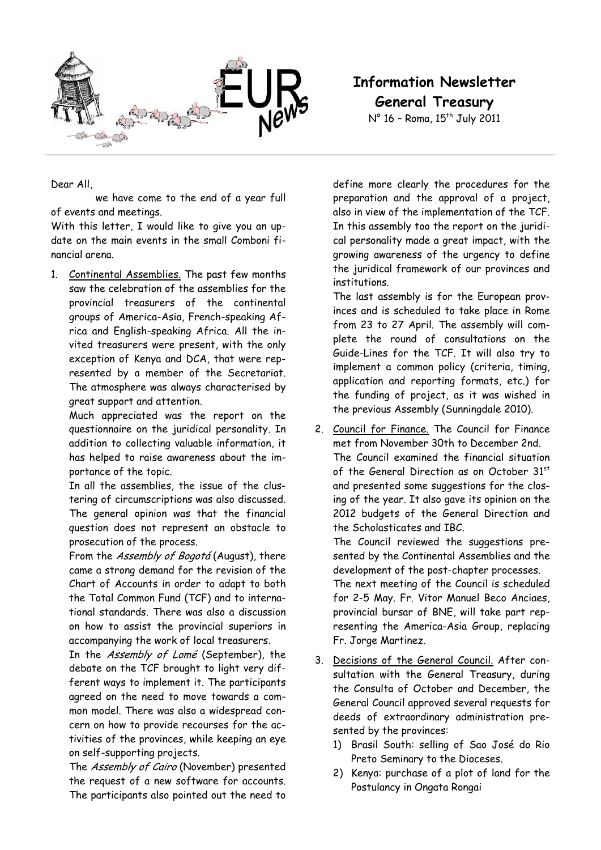

Dear All,

 we have come to the end of a year full of events and meetings.

With this letter, I would like to give you an update on the main events in the small Comboni financial arena.

1. Continental Assemblies. The past few months saw the celebration of the assemblies for the provincial treasurers of the continental groups of America-Asia, French-speaking Africa and English-speaking Africa. All the invited treasurers were present, with the only exception of Kenya and DCA, that were represented by a member of the Secretariat. The atmosphere was always characterised by great support and attention.

Much appreciated was the report on the questionnaire on the juridical personality. In addition to collecting valuable information, it has helped to raise awareness about the importance of the topic.

In all the assemblies, the issue of the clustering of circumscriptions was also discussed. The general opinion was that the financial question does not represent an obstacle to prosecution of the process.

From the Assembly of Bogotá (August), there came a strong demand for the revision of the Chart of Accounts in order to adapt to both the Total Common Fund (TCF) and to international standards. There was also a discussion on how to assist the provincial superiors in accompanying the work of local treasurers.

In the Assembly of Lomé (September), the debate on the TCF brought to light very different ways to implement it. The participants agreed on the need to move towards a common model. There was also a widespread concern on how to provide recourses for the activities of the provinces, while keeping an eye on self-supporting projects.

The Assembly of Cairo (November) presented the request of a new software for accounts. The participants also pointed out the need to **Information Newsletter General Treasury** 

 $N^{\circ}$  16 - Roma, 15<sup>th</sup> July 2011

define more clearly the procedures for the preparation and the approval of a project, also in view of the implementation of the TCF. In this assembly too the report on the juridical personality made a great impact, with the growing awareness of the urgency to define the juridical framework of our provinces and institutions.

The last assembly is for the European provinces and is scheduled to take place in Rome from 23 to 27 April. The assembly will complete the round of consultations on the Guide-Lines for the TCF. It will also try to implement a common policy (criteria, timing, application and reporting formats, etc.) for the funding of project, as it was wished in the previous Assembly (Sunningdale 2010).

2. Council for Finance. The Council for Finance met from November 30th to December 2nd. The Council examined the financial situation of the General Direction as on October 31<sup>st</sup> and presented some suggestions for the closing of the year. It also gave its opinion on the 2012 budgets of the General Direction and the Scholasticates and IBC.

The Council reviewed the suggestions presented by the Continental Assemblies and the development of the post-chapter processes. The next meeting of the Council is scheduled

for 2-5 May. Fr. Vitor Manuel Beco Anciaes, provincial bursar of BNE, will take part representing the America-Asia Group, replacing Fr. Jorge Martinez.

- 3. Decisions of the General Council. After consultation with the General Treasury, during the Consulta of October and December, the General Council approved several requests for deeds of extraordinary administration presented by the provinces:
	- 1) Brasil South: selling of Sao José do Rio Preto Seminary to the Dioceses.
	- 2) Kenya: purchase of a plot of land for the Postulancy in Ongata Rongai